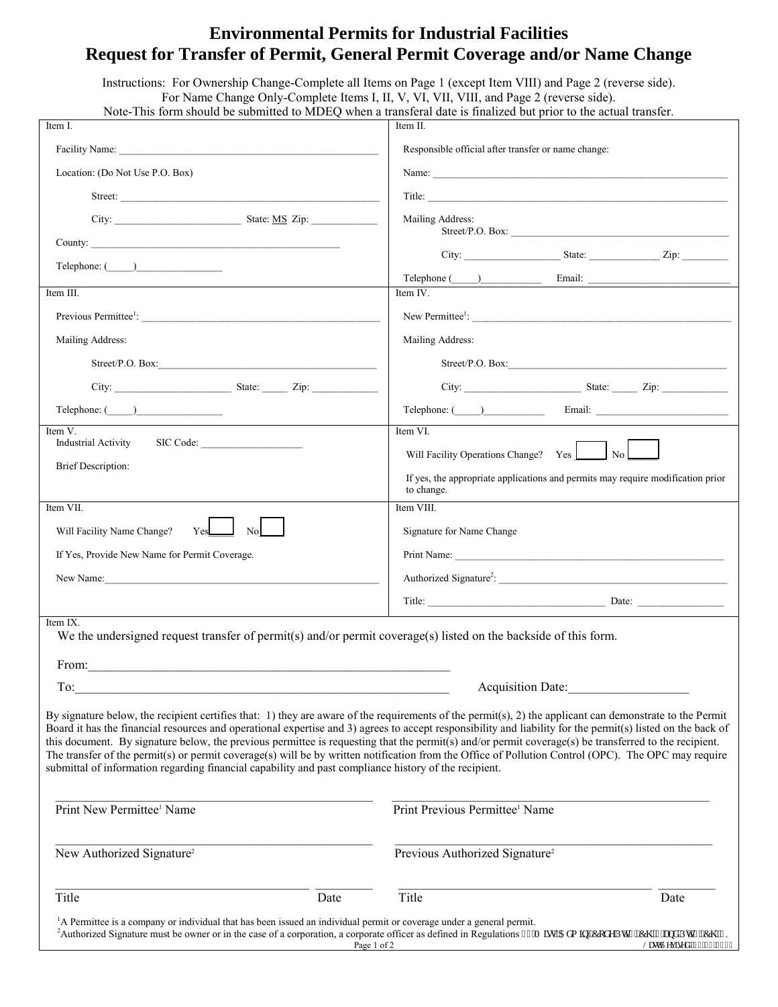## **Environmental Permits for Industrial Facilities Request for Transfer of Permit, General Permit Coverage and/or Name Change**

|                                                                                                                                                                                                                               | Instructions: For Ownership Change-Complete all Items on Page 1 (except Item VIII) and Page 2 (reverse side).<br>For Name Change Only-Complete Items I, II, V, VI, VII, VIII, and Page 2 (reverse side).<br>Note-This form should be submitted to MDEQ when a transferal date is finalized but prior to the actual transfer.                                                                                                                                                                                                                                                                                                            |
|-------------------------------------------------------------------------------------------------------------------------------------------------------------------------------------------------------------------------------|-----------------------------------------------------------------------------------------------------------------------------------------------------------------------------------------------------------------------------------------------------------------------------------------------------------------------------------------------------------------------------------------------------------------------------------------------------------------------------------------------------------------------------------------------------------------------------------------------------------------------------------------|
| Item I.                                                                                                                                                                                                                       | Item II.                                                                                                                                                                                                                                                                                                                                                                                                                                                                                                                                                                                                                                |
|                                                                                                                                                                                                                               | Responsible official after transfer or name change:                                                                                                                                                                                                                                                                                                                                                                                                                                                                                                                                                                                     |
| Location: (Do Not Use P.O. Box)                                                                                                                                                                                               | Name:                                                                                                                                                                                                                                                                                                                                                                                                                                                                                                                                                                                                                                   |
| Street:                                                                                                                                                                                                                       | Title:                                                                                                                                                                                                                                                                                                                                                                                                                                                                                                                                                                                                                                  |
|                                                                                                                                                                                                                               |                                                                                                                                                                                                                                                                                                                                                                                                                                                                                                                                                                                                                                         |
|                                                                                                                                                                                                                               | Mailing Address:                                                                                                                                                                                                                                                                                                                                                                                                                                                                                                                                                                                                                        |
|                                                                                                                                                                                                                               |                                                                                                                                                                                                                                                                                                                                                                                                                                                                                                                                                                                                                                         |
| $\text{Telephone: } (\_\_\_\_\_\_\_\$                                                                                                                                                                                         |                                                                                                                                                                                                                                                                                                                                                                                                                                                                                                                                                                                                                                         |
| Item III.                                                                                                                                                                                                                     | Item IV.                                                                                                                                                                                                                                                                                                                                                                                                                                                                                                                                                                                                                                |
|                                                                                                                                                                                                                               |                                                                                                                                                                                                                                                                                                                                                                                                                                                                                                                                                                                                                                         |
| Mailing Address:                                                                                                                                                                                                              | Mailing Address:                                                                                                                                                                                                                                                                                                                                                                                                                                                                                                                                                                                                                        |
| Street/P.O. Box: $\qquad \qquad$                                                                                                                                                                                              | Street/P.O. Box:                                                                                                                                                                                                                                                                                                                                                                                                                                                                                                                                                                                                                        |
| City: City: City: City: City: City: City: City: City: City: City: City: City: City: City: City: City: City: City: City: City: City: City: City: City: City: City: City: City: City: City: City: City: City: City: City: City: | City: City: City: City: City: City: City: City: City: City: City: City: City: City: City: City: City: City: City: City: City: City: City: City: City: City: City: City: City: City: City: City: City: City: City: City: City:                                                                                                                                                                                                                                                                                                                                                                                                           |
| $\text{Telephone: } (\_\_\_\_\_\_\$                                                                                                                                                                                           |                                                                                                                                                                                                                                                                                                                                                                                                                                                                                                                                                                                                                                         |
| Item V.                                                                                                                                                                                                                       | Item VI.                                                                                                                                                                                                                                                                                                                                                                                                                                                                                                                                                                                                                                |
| <b>Industrial Activity</b><br>SIC Code:                                                                                                                                                                                       | $\vert$ No $\vert$<br>Will Facility Operations Change? Yes                                                                                                                                                                                                                                                                                                                                                                                                                                                                                                                                                                              |
| <b>Brief Description:</b>                                                                                                                                                                                                     | If yes, the appropriate applications and permits may require modification prior<br>to change.                                                                                                                                                                                                                                                                                                                                                                                                                                                                                                                                           |
| Item VII.                                                                                                                                                                                                                     | Item VIII.                                                                                                                                                                                                                                                                                                                                                                                                                                                                                                                                                                                                                              |
| Will Facility Name Change?<br>Yes<br>N <sub>o</sub>                                                                                                                                                                           | Signature for Name Change                                                                                                                                                                                                                                                                                                                                                                                                                                                                                                                                                                                                               |
| If Yes, Provide New Name for Permit Coverage.                                                                                                                                                                                 | Print Name:                                                                                                                                                                                                                                                                                                                                                                                                                                                                                                                                                                                                                             |
|                                                                                                                                                                                                                               |                                                                                                                                                                                                                                                                                                                                                                                                                                                                                                                                                                                                                                         |
|                                                                                                                                                                                                                               |                                                                                                                                                                                                                                                                                                                                                                                                                                                                                                                                                                                                                                         |
| Item IX.<br>We the undersigned request transfer of permit(s) and/or permit coverage(s) listed on the backside of this form.                                                                                                   |                                                                                                                                                                                                                                                                                                                                                                                                                                                                                                                                                                                                                                         |
| To:<br><u> 1980 - Jan Barnett, fransk politik (d. 1980)</u>                                                                                                                                                                   | Acquisition Date:                                                                                                                                                                                                                                                                                                                                                                                                                                                                                                                                                                                                                       |
| submittal of information regarding financial capability and past compliance history of the recipient.                                                                                                                         | By signature below, the recipient certifies that: 1) they are aware of the requirements of the permit(s), 2) the applicant can demonstrate to the Permit<br>Board it has the financial resources and operational expertise and 3) agrees to accept responsibility and liability for the permit(s) listed on the back of<br>this document. By signature below, the previous permittee is requesting that the permit(s) and/or permit coverage(s) be transferred to the recipient.<br>The transfer of the permit(s) or permit coverage(s) will be by written notification from the Office of Pollution Control (OPC). The OPC may require |
| Print New Permittee <sup>1</sup> Name                                                                                                                                                                                         | Print Previous Permittee <sup>1</sup> Name                                                                                                                                                                                                                                                                                                                                                                                                                                                                                                                                                                                              |
| New Authorized Signature <sup>2</sup>                                                                                                                                                                                         | Previous Authorized Signature <sup>2</sup>                                                                                                                                                                                                                                                                                                                                                                                                                                                                                                                                                                                              |
| Title<br>Date                                                                                                                                                                                                                 | Title<br>Date                                                                                                                                                                                                                                                                                                                                                                                                                                                                                                                                                                                                                           |
| <sup>1</sup> A Permittee is a company or individual that has been issued an individual permit or coverage under a general permit.                                                                                             | <sup>2</sup> Authorized Signature must be owner or in the case of a corporation, a corporate officer as defined in Regulations 33'O ku0Cf o kp0Eqf g'R04.'Ej 04'cpf 'R08.'Ej 03.<br>Page 1 of 2<br>NcuvTgxkugf <2612814244                                                                                                                                                                                                                                                                                                                                                                                                              |